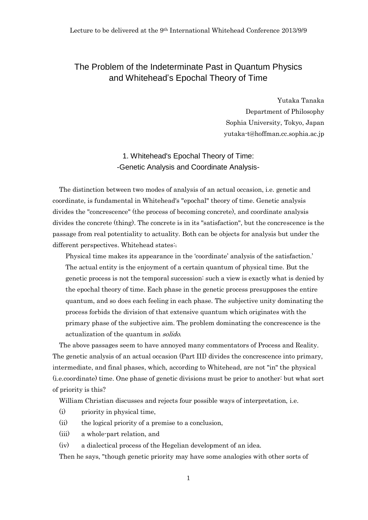# The Problem of the Indeterminate Past in Quantum Physics and Whitehead's Epochal Theory of Time

Yutaka Tanaka Department of Philosophy Sophia University, Tokyo, Japan yutaka-t@hoffman.cc.sophia.ac.jp

# 1. Whitehead's Epochal Theory of Time: -Genetic Analysis and Coordinate Analysis-

The distinction between two modes of analysis of an actual occasion, i.e. genetic and coordinate, is fundamental in Whitehead's "epochal" theory of time. Genetic analysis divides the "concrescence" (the process of becoming concrete), and coordinate analysis divides the concrete (thing). The concrete is in its "satisfaction", but the concrescence is the passage from real potentiality to actuality. Both can be objects for analysis but under the different perspectives. Whitehead states:

Physical time makes its appearance in the 'coordinate' analysis of the satisfaction.' The actual entity is the enjoyment of a certain quantum of physical time. But the genetic process is not the temporal succession: such a view is exactly what is denied by the epochal theory of time. Each phase in the genetic process presupposes the entire quantum, and so does each feeling in each phase. The subjective unity dominating the process forbids the division of that extensive quantum which originates with the primary phase of the subjective aim. The problem dominating the concrescence is the actualization of the quantum in solido.

The above passages seem to have annoyed many commentators of Process and Reality. The genetic analysis of an actual occasion (Part III) divides the concrescence into primary, intermediate, and final phases, which, according to Whitehead, are not "in" the physical (i.e.coordinate) time. One phase of genetic divisions must be prior to another: but what sort of priority is this?

William Christian discusses and rejects four possible ways of interpretation, i.e.

- (i) priority in physical time,
- (ii) the logical priority of a premise to a conclusion,
- (iii) a whole-part relation, and
- (iv) a dialectical process of the Hegelian development of an idea.

Then he says, "though genetic priority may have some analogies with other sorts of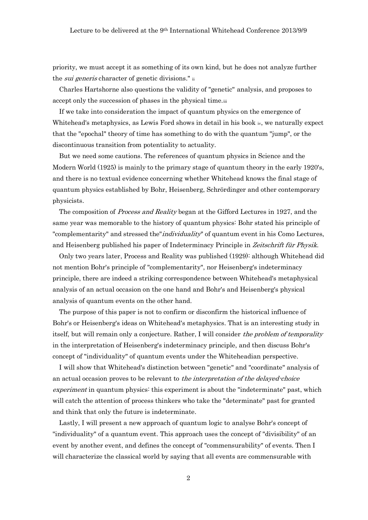priority, we must accept it as something of its own kind, but he does not analyze further the *sui generis* character of genetic divisions." ii

Charles Hartshorne also questions the validity of "genetic" analysis, and proposes to accept only the succession of phases in the physical time.iii

If we take into consideration the impact of quantum physics on the emergence of Whitehead's metaphysics, as Lewis Ford shows in detail in his book  $\psi$ , we naturally expect that the "epochal" theory of time has something to do with the quantum "jump", or the discontinuous transition from potentiality to actuality.

But we need some cautions. The references of quantum physics in Science and the Modern World (1925) is mainly to the primary stage of quantum theory in the early 1920's, and there is no textual evidence concerning whether Whitehead knows the final stage of quantum physics established by Bohr, Heisenberg, Schrördinger and other contemporary physicists.

The composition of Process and Reality began at the Gifford Lectures in 1927, and the same year was memorable to the history of quantum physics: Bohr stated his principle of "complementarity" and stressed the"*individuality*" of quantum event in his Como Lectures, and Heisenberg published his paper of Indeterminacy Principle in Zeitschrift für Physik.

Only two years later, Process and Reality was published (1929): although Whitehead did not mention Bohr's principle of "complementarity", nor Heisenberg's indeterminacy principle, there are indeed a striking correspondence between Whitehead's metaphysical analysis of an actual occasion on the one hand and Bohr's and Heisenberg's physical analysis of quantum events on the other hand.

The purpose of this paper is not to confirm or disconfirm the historical influence of Bohr's or Heisenberg's ideas on Whitehead's metaphysics. That is an interesting study in itself, but will remain only a conjecture. Rather, I will consider the problem of temporality in the interpretation of Heisenberg's indeterminacy principle, and then discuss Bohr's concept of "individuality" of quantum events under the Whiteheadian perspective.

I will show that Whitehead's distinction between "genetic" and "coordinate" analysis of an actual occasion proves to be relevant to the interpretation of the delayed-choice experiment in quantum physics: this experiment is about the "indeterminate" past, which will catch the attention of process thinkers who take the "determinate" past for granted and think that only the future is indeterminate.

Lastly, I will present a new approach of quantum logic to analyse Bohr's concept of "individuality" of a quantum event. This approach uses the concept of "divisibility" of an event by another event, and defines the concept of "commensurability" of events. Then I will characterize the classical world by saying that all events are commensurable with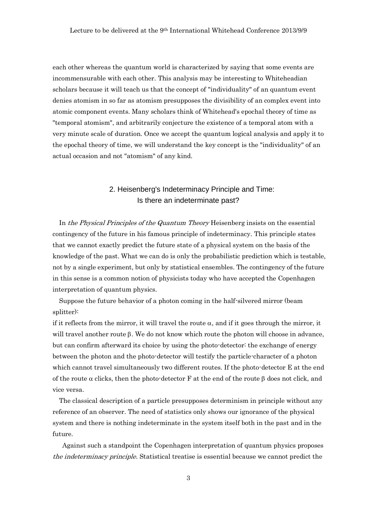each other whereas the quantum world is characterized by saying that some events are incommensurable with each other. This analysis may be interesting to Whiteheadian scholars because it will teach us that the concept of "individuality" of an quantum event denies atomism in so far as atomism presupposes the divisibility of an complex event into atomic component events. Many scholars think of Whitehead's epochal theory of time as "temporal atomism", and arbitrarily conjecture the existence of a temporal atom with a very minute scale of duration. Once we accept the quantum logical analysis and apply it to the epochal theory of time, we will understand the key concept is the "individuality" of an actual occasion and not "atomism" of any kind.

# 2. Heisenberg's Indeterminacy Principle and Time: Is there an indeterminate past?

In the Physical Principles of the Quantum Theory Heisenberg insists on the essential contingency of the future in his famous principle of indeterminacy. This principle states that we cannot exactly predict the future state of a physical system on the basis of the knowledge of the past. What we can do is only the probabilistic prediction which is testable, not by a single experiment, but only by statistical ensembles. The contingency of the future in this sense is a common notion of physicists today who have accepted the Copenhagen interpretation of quantum physics.

Suppose the future behavior of a photon coming in the half-silvered mirror (beam splitter):

if it reflects from the mirror, it will travel the route  $\alpha$ , and if it goes through the mirror, it will travel another route  $\beta$ . We do not know which route the photon will choose in advance, but can confirm afterward its choice by using the photo-detector: the exchange of energy between the photon and the photo-detector will testify the particle-character of a photon which cannot travel simultaneously two different routes. If the photo-detector E at the end of the route  $\alpha$  clicks, then the photo-detector F at the end of the route  $\beta$  does not click, and vice versa.

The classical description of a particle presupposes determinism in principle without any reference of an observer. The need of statistics only shows our ignorance of the physical system and there is nothing indeterminate in the system itself both in the past and in the future.

Against such a standpoint the Copenhagen interpretation of quantum physics proposes the indeterminacy principle. Statistical treatise is essential because we cannot predict the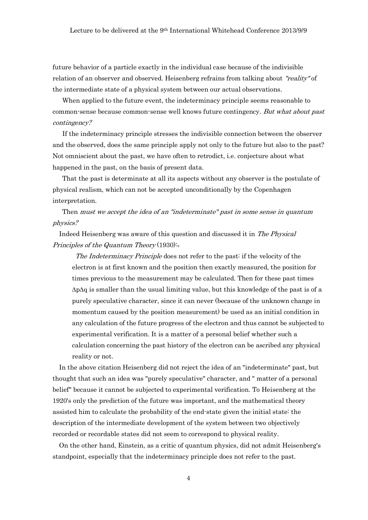future behavior of a particle exactly in the individual case because of the indivisible relation of an observer and observed. Heisenberg refrains from talking about "reality" of the intermediate state of a physical system between our actual observations.

When applied to the future event, the indeterminacy principle seems reasonable to common-sense because common-sense well knows future contingency. But what about past contingency?

If the indeterminacy principle stresses the indivisible connection between the observer and the observed, does the same principle apply not only to the future but also to the past? Not omniscient about the past, we have often to retrodict, i.e. conjecture about what happened in the past, on the basis of present data.

That the past is determinate at all its aspects without any observer is the postulate of physical realism, which can not be accepted unconditionally by the Copenhagen interpretation.

Then must we accept the idea of an "indeterminate" past in some sense in quantum physics?

Indeed Heisenberg was aware of this question and discussed it in The Physical Principles of the Quantum Theory (1930): $_{v}$ 

The Indeterminacy Principle does not refer to the past: if the velocity of the electron is at first known and the position then exactly measured, the position for times previous to the measurement may be calculated. Then for these past times  $\Delta p \Delta q$  is smaller than the usual limiting value, but this knowledge of the past is of a purely speculative character, since it can never (because of the unknown change in momentum caused by the position measurement) be used as an initial condition in any calculation of the future progress of the electron and thus cannot be subjected to experimental verification. It is a matter of a personal belief whether such a calculation concerning the past history of the electron can be ascribed any physical reality or not.

In the above citation Heisenberg did not reject the idea of an "indeterminate" past, but thought that such an idea was "purely speculative" character, and " matter of a personal belief" because it cannot be subjected to experimental verification. To Heisenberg at the 1920's only the prediction of the future was important, and the mathematical theory assisted him to calculate the probability of the end-state given the initial state: the description of the intermediate development of the system between two objectively recorded or recordable states did not seem to correspond to physical reality.

On the other hand, Einstein, as a critic of quantum physics, did not admit Heisenberg's standpoint, especially that the indeterminacy principle does not refer to the past.

4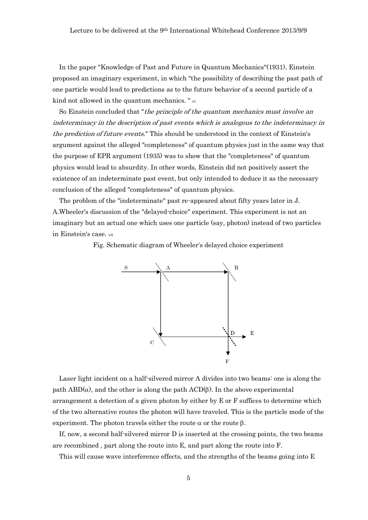In the paper "Knowledge of Past and Future in Quantum Mechanics"(1931), Einstein proposed an imaginary experiment, in which "the possibility of describing the past path of one particle would lead to predictions as to the future behavior of a second particle of a kind not allowed in the quantum mechanics. " vi

So Einstein concluded that "*the principle of the quantum mechanics must involve an* indeterminacy in the description of past events which is analogous to the indeterminacy in the prediction of future events." This should be understood in the context of Einstein's argument against the alleged "completeness" of quantum physics just in the same way that the purpose of EPR argument (1935) was to show that the "completeness" of quantum physics would lead to absurdity. In other words, Einstein did not positively assert the existence of an indeterminate past event, but only intended to deduce it as the necessary conclusion of the alleged "completeness" of quantum physics.

The problem of the "indeterminate" past re-appeared about fifty years later in J. A.Wheeler's discussion of the "delayed-choice" experiment. This experiment is not an imaginary but an actual one which uses one particle (say, photon) instead of two particles in Einstein's case. vii

Fig. Schematic diagram of Wheeler's delayed choice experiment



Laser light incident on a half-silvered mirror A divides into two beams: one is along the path ABD( $\alpha$ ), and the other is along the path ACD( $\beta$ ). In the above experimental arrangement a detection of a given photon by either by E or F suffices to determine which of the two alternative routes the photon will have traveled. This is the particle mode of the experiment. The photon travels either the route  $\alpha$  or the route  $\beta$ .

If, now, a second half-silvered mirror D is inserted at the crossing points, the two beams are recombined , part along the route into E, and part along the route into F.

This will cause wave interference effects, and the strengths of the beams going into E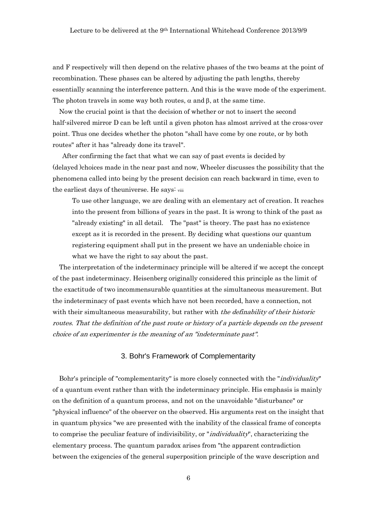and F respectively will then depend on the relative phases of the two beams at the point of recombination. These phases can be altered by adjusting the path lengths, thereby essentially scanning the interference pattern. And this is the wave mode of the experiment. The photon travels in some way both routes,  $\alpha$  and  $\beta$ , at the same time.

Now the crucial point is that the decision of whether or not to insert the second half-silvered mirror D can be left until a given photon has almost arrived at the cross-over point. Thus one decides whether the photon "shall have come by one route, or by both routes" after it has "already done its travel".

After confirming the fact that what we can say of past events is decided by (delayed )choices made in the near past and now, Wheeler discusses the possibility that the phenomena called into being by the present decision can reach backward in time, even to the earliest days of theuniverse. He says: viii

To use other language, we are dealing with an elementary act of creation. It reaches into the present from billions of years in the past. It is wrong to think of the past as "already existing" in all detail. The "past" is theory. The past has no existence except as it is recorded in the present. By deciding what questions our quantum registering equipment shall put in the present we have an undeniable choice in what we have the right to say about the past.

The interpretation of the indeterminacy principle will be altered if we accept the concept of the past indeterminacy. Heisenberg originally considered this principle as the limit of the exactitude of two incommensurable quantities at the simultaneous measurement. But the indeterminacy of past events which have not been recorded, have a connection, not with their simultaneous measurability, but rather with *the definability of their historic* routes. That the definition of the past route or history of a particle depends on the present choice of an experimenter is the meaning of an "indeterminate past".

## 3. Bohr's Framework of Complementarity

Bohr's principle of "complementarity" is more closely connected with the "*individuality*" of a quantum event rather than with the indeterminacy principle. His emphasis is mainly on the definition of a quantum process, and not on the unavoidable "disturbance" or "physical influence" of the observer on the observed. His arguments rest on the insight that in quantum physics "we are presented with the inability of the classical frame of concepts to comprise the peculiar feature of indivisibility, or "*individuality*", characterizing the elementary process. The quantum paradox arises from "the apparent contradiction between the exigencies of the general superposition principle of the wave description and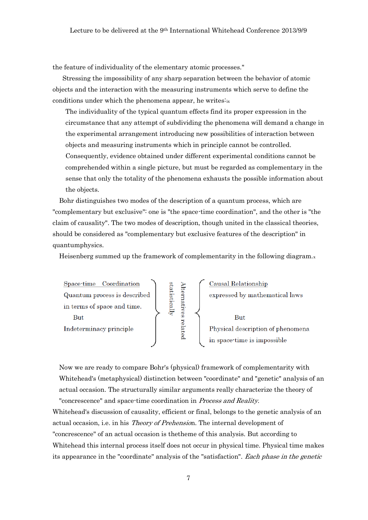the feature of individuality of the elementary atomic processes."

Stressing the impossibility of any sharp separation between the behavior of atomic objects and the interaction with the measuring instruments which serve to define the conditions under which the phenomena appear, he writes: $i<sub>x</sub>$ 

The individuality of the typical quantum effects find its proper expression in the circumstance that any attempt of subdividing the phenomena will demand a change in the experimental arrangement introducing new possibilities of interaction between objects and measuring instruments which in principle cannot be controlled. Consequently, evidence obtained under different experimental conditions cannot be comprehended within a single picture, but must be regarded as complementary in the sense that only the totality of the phenomena exhausts the possible information about the objects.

Bohr distinguishes two modes of the description of a quantum process, which are "complementary but exclusive": one is "the space-time coordination", and the other is "the claim of causality". The two modes of description, though united in the classical theories, should be considered as "complementary but exclusive features of the description" in quantumphysics.

Heisenberg summed up the framework of complementarity in the following diagram.<sup>x</sup>



Now we are ready to compare Bohr's (physical) framework of complementarity with Whitehead's (metaphysical) distinction between "coordinate" and "genetic" analysis of an actual occasion. The structurally similar arguments really characterize the theory of "concrescence" and space-time coordination in Process and Reality.

Whitehead's discussion of causality, efficient or final, belongs to the genetic analysis of an actual occasion, i.e. in his Theory of Prehension. The internal development of "concrescence" of an actual occasion is thetheme of this analysis. But according to Whitehead this internal process itself does not occur in physical time. Physical time makes its appearance in the "coordinate" analysis of the "satisfaction". Each phase in the genetic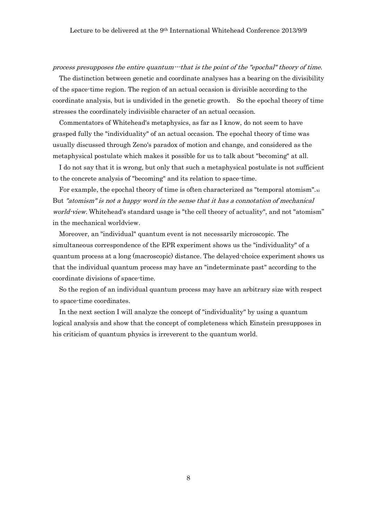#### process presupposes the entire quantum---that is the point of the "epochal" theory of time.

The distinction between genetic and coordinate analyses has a bearing on the divisibility of the space-time region. The region of an actual occasion is divisible according to the coordinate analysis, but is undivided in the genetic growth. So the epochal theory of time stresses the coordinately indivisible character of an actual occasion.

Commentators of Whitehead's metaphysics, as far as I know, do not seem to have grasped fully the "individuality" of an actual occasion. The epochal theory of time was usually discussed through Zeno's paradox of motion and change, and considered as the metaphysical postulate which makes it possible for us to talk about "becoming" at all.

I do not say that it is wrong, but only that such a metaphysical postulate is not sufficient to the concrete analysis of "becoming" and its relation to space-time.

For example, the epochal theory of time is often characterized as "temporal atomism". $\dot{x}$ But "atomism" is not a happy word in the sense that it has a connotation of mechanical world-view. Whitehead's standard usage is "the cell theory of actuality", and not "atomism" in the mechanical worldview.

Moreover, an "individual" quantum event is not necessarily microscopic. The simultaneous correspondence of the EPR experiment shows us the "individuality" of a quantum process at a long (macroscopic) distance. The delayed-choice experiment shows us that the individual quantum process may have an "indeterminate past" according to the coordinate divisions of space-time.

So the region of an individual quantum process may have an arbitrary size with respect to space-time coordinates.

In the next section I will analyze the concept of "individuality" by using a quantum logical analysis and show that the concept of completeness which Einstein presupposes in his criticism of quantum physics is irreverent to the quantum world.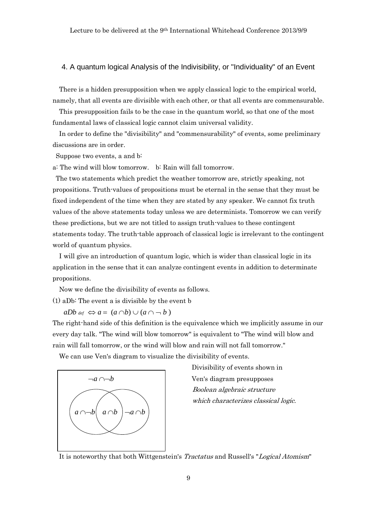## 4. A quantum logical Analysis of the Indivisibility, or "Individuality" of an Event

There is a hidden presupposition when we apply classical logic to the empirical world, namely, that all events are divisible with each other, or that all events are commensurable.

This presupposition fails to be the case in the quantum world, so that one of the most fundamental laws of classical logic cannot claim universal validity.

In order to define the "divisibility" and "commensurability" of events, some preliminary discussions are in order.

Suppose two events, a and b:

a: The wind will blow tomorrow. b: Rain will fall tomorrow.

The two statements which predict the weather tomorrow are, strictly speaking, not propositions. Truth-values of propositions must be eternal in the sense that they must be fixed independent of the time when they are stated by any speaker. We cannot fix truth values of the above statements today unless we are determinists. Tomorrow we can verify these predictions, but we are not titled to assign truth-values to these contingent statements today. The truth-table approach of classical logic is irrelevant to the contingent world of quantum physics.

I will give an introduction of quantum logic, which is wider than classical logic in its application in the sense that it can analyze contingent events in addition to determinate propositions.

Now we define the divisibility of events as follows. (1) aDb: The event a is divisible by the event b

 $aDb$   $def \Leftrightarrow a = (a \cap b) \cup (a \cap b)$ 

The right-hand side of this definition is the equivalence which we implicitly assume in our every day talk. "The wind will blow tomorrow" is equivalent to "The wind will blow and rain will fall tomorrow, or the wind will blow and rain will not fall tomorrow."

We can use Ven's diagram to visualize the divisibility of events.



 Divisibility of events shown in Boolean algebraic structure which characterizes classical logic.

It is noteworthy that both Wittgenstein's Tractatus and Russell's "Logical Atomism"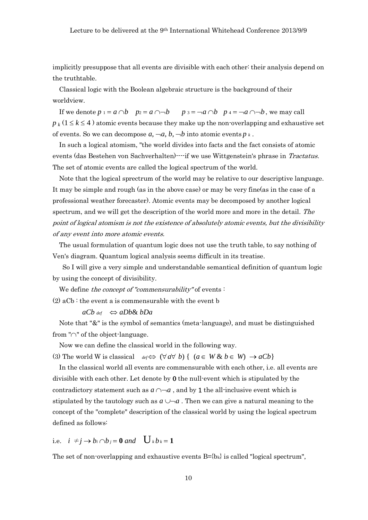implicitly presuppose that all events are divisible with each other: their analysis depend on the truthtable.

Classical logic with the Boolean algebraic structure is the background of their worldview.

If we denote  $p_1 = a \cap b$   $p_2 = a \cap b$   $p_3 = a \cap b$   $p_4 = a \cap b$ , we may call  $p_k$  ( $1 \leq k \leq 4$ ) atomic events because they make up the non-overlapping and exhaustive set of events. So we can decompose  $a, \neg a, b, \neg b$  into atomic events  $p_k$ .

In such a logical atomism, "the world divides into facts and the fact consists of atomic events (das Bestehen von Sachverhalten)----if we use Wittgenstein's phrase in Tractatus. The set of atomic events are called the logical spectrum of the world.

Note that the logical sprectrum of the world may be relative to our descriptive language. It may be simple and rough (as in the above case) or may be very fine(as in the case of a professional weather forecaster). Atomic events may be decomposed by another logical spectrum, and we will get the description of the world more and more in the detail. The point of logical atomism is not the existence of absolutely atomic events, but the divisibility of any event into more atomic events.

The usual formulation of quantum logic does not use the truth table, to say nothing of Ven's diagram. Quantum logical analysis seems difficult in its treatise.

So I will give a very simple and understandable semantical definition of quantum logic by using the concept of divisibility.

We define the concept of "commensurability" of events :

 $(2)$  aCb : the event a is commensurable with the event b

### $aCb$  *def*  $\Leftrightarrow aDb& bDa$

Note that "&" is the symbol of semantics (meta-language), and must be distinguished from " $\cap$ " of the object-language.

Now we can define the classical world in the following way.

(3) The world W is classical  $\deg \Leftrightarrow (\forall a \forall b) \{ (a \in W \& b \in W) \rightarrow aCb \}$ 

In the classical world all events are commensurable with each other, i.e. all events are divisible with each other. Let denote by 0 the null-event which is stipulated by the contradictory statement such as  $a \cap a$ , and by 1 the all-inclusive event which is stipulated by the tautology such as  $a \cup a$ . Then we can give a natural meaning to the concept of the "complete" description of the classical world by using the logical spectrum defined as follows:

# i.e.  $i \neq j \rightarrow b_i \cap b_j = \mathbf{0}$  and  $\bigcup_k b_k = \mathbf{1}$

The set of non-overlapping and exhaustive events  $B=\{b_k\}$  is called "logical spectrum",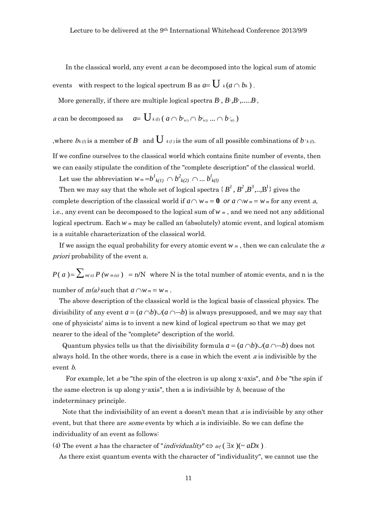In the classical world, any event <sup>a</sup> can be decomposed into the logical sum of atomic events with respect to the logical spectrum B as  $a = \mathbf{U}_{k} (a \cap b_{k}).$ 

More generally, if there are multiple logical spectra  $B$ <sup>1</sup>,  $B$ <sup>2</sup>, $B$ <sup>3</sup>,...... $B$ <sup>1</sup>,

 $a$  can be decomposed as  $b_{k(1)} \cap b_{k(2)} \ldots \cap b_{k(l)}$ 

,where  $b$ k(*l*) is a member of  $B$ <sup>*l*</sup> and  $\overline{\bigcup}$  k(*l*) is the sum of all possible combinations of  $b$  <sup>*l*</sup> k(*l*).

If we confine ourselves to the classical world which contains finite number of events, then we can easily stipulate the condition of the "complete description" of the classical world.

Let use the abbreviation  $w_m = b^l{}_{k(l)} \cap b^2{}_{k(2)} \cap ... b^l{}_{k(l)}$ 

Then we may say that the whole set of logical spectra  $\{B^I, B^2, B^3, \ldots, B^l\}$  gives the complete description of the classical world if  $a \cap w_m = 0$  *or*  $a \cap w_m = w_m$  for any event a, i.e., any event can be decomposed to the logical sum of*w <sup>m</sup>* , and we need not any additional logical spectrum. Each *w m* may be called an (absolutely) atomic event, and logical atomism is a suitable characterization of the classical world.

If we assign the equal probability for every atomic event *w <sup>m</sup>* , then we can calculate the <sup>a</sup> priori probability of the event a.

 $P(a) = \sum_{m(a)} P(w_{m(a)}) = n/N$  where N is the total number of atomic events, and n is the number of  $m(a)$  such that  $a \cap w_m = w_m$ .

The above description of the classical world is the logical basis of classical physics. The divisibility of any event  $a = (a \cap b) \cup (a \cap b)$  is always presupposed, and we may say that one of physicists' aims is to invent a new kind of logical spectrum so that we may get nearer to the ideal of the "complete" description of the world.

Quantum physics tells us that the divisibility formula  $a = (a \cap b) \cup (a \cap b)$  does not always hold. In the other words, there is a case in which the event  $a$  is indivisible by the event *b*.

For example, let a be "the spin of the electron is up along x-axis", and b be "the spin if the same electron is up along y-axis", then a is indivisible by  $b$ , because of the indeterminacy principle.

Note that the indivisibility of an event a doesn't mean that a is indivisible by any other event, but that there are *some* events by which a is indivisible. So we can define the individuality of an event as follows:

(4) The event a has the character of "*individuality*"  $\Leftrightarrow$   $_{def}(\exists x)(\sim aDx)$ .

As there exist quantum events with the character of "individuality", we cannot use the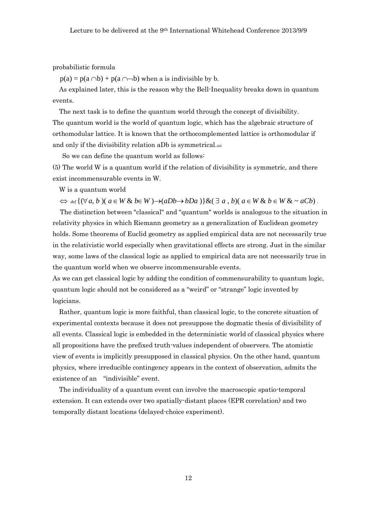probabilistic formula

 $p(a) = p(a \cap b) + p(a \cap b)$  when a is indivisible by b.

As explained later, this is the reason why the Bell-Inequality breaks down in quantum events.

The next task is to define the quantum world through the concept of divisibility. The quantum world is the world of quantum logic, which has the algebraic structure of orthomodular lattice. It is known that the orthocomplemented lattice is orthomodular if and only if the divisibility relation aDb is symmetrical.xii

So we can define the quantum world as follows:

(5) The world W is a quantum world if the relation of divisibility is symmetric, and there exist incommensurable events in W.

W is a quantum world

 $\Leftrightarrow$   $\det\{(\forall a, b)(a \in W \& b \in W) \rightarrow (aDb \rightarrow bDa)\}\&(\exists a, b)(a \in W \& b \in W \& \sim aCb).$ 

The distinction between "classical" and "quantum" worlds is analogous to the situation in relativity physics in which Riemann geometry as a generalization of Euclidean geometry holds. Some theorems of Euclid geometry as applied empirical data are not necessarily true in the relativistic world especially when gravitational effects are strong. Just in the similar way, some laws of the classical logic as applied to empirical data are not necessarily true in the quantum world when we observe incommensurable events.

As we can get classical logic by adding the condition of commensurability to quantum logic, quantum logic should not be considered as a "weird" or "strange" logic invented by logicians.

Rather, quantum logic is more faithful, than classical logic, to the concrete situation of experimental contexts because it does not presuppose the dogmatic thesis of divisibility of all events. Classical logic is embedded in the deterministic world of classical physics where all propositions have the prefixed truth-values independent of observers. The atomistic view of events is implicitly presupposed in classical physics. On the other hand, quantum physics, where irreducible contingency appears in the context of observation, admits the existence of an "indivisible" event.

The individuality of a quantum event can involve the macroscopic spatio-temporal extension. It can extends over two spatially-distant places (EPR correlation) and two temporally distant locations (delayed-choice experiment).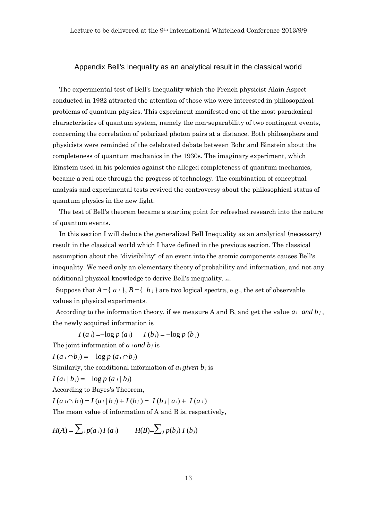#### Appendix Bell's Inequality as an analytical result in the classical world

The experimental test of Bell's Inequality which the French physicist Alain Aspect conducted in 1982 attracted the attention of those who were interested in philosophical problems of quantum physics. This experiment manifested one of the most paradoxical characteristics of quantum system, namely the non-separability of two contingent events, concerning the correlation of polarized photon pairs at a distance. Both philosophers and physicists were reminded of the celebrated debate between Bohr and Einstein about the completeness of quantum mechanics in the 1930s. The imaginary experiment, which Einstein used in his polemics against the alleged completeness of quantum mechanics, became a real one through the progress of technology. The combination of conceptual analysis and experimental tests revived the controversy about the philosophical status of quantum physics in the new light.

The test of Bell's theorem became a starting point for refreshed research into the nature of quantum events.

In this section I will deduce the generalized Bell Inequality as an analytical (necessary) result in the classical world which I have defined in the previous section. The classical assumption about the "divisibility" of an event into the atomic components causes Bell's inequality. We need only an elementary theory of probability and information, and not any additional physical knowledge to derive Bell's inequality. xiii

Suppose that  $A = \{a_i\}, B = \{b_i\}$  are two logical spectra, e.g., the set of observable values in physical experiments.

According to the information theory, if we measure A and B, and get the value  $a_i$  and  $b_j$ , the newly acquired information is

 $I(a_i) = -\log p(a_i)$   $I(b_j) = -\log p(b_i)$ The joint information of  $a$  *i* and  $b_j$  is

 $I(a \cap b) = -\log p(a \cap b)$ 

Similarly, the conditional information of  $a_i$  *given*  $b_j$  is

$$
I(a_i | b_j) = -\log p(a_i | b_j)
$$

According to Bayes's Theorem,

$$
I(a_i \cap b_j) = I(a_i | b_j) + I(b_j) = I(b_j | a_i) + I(a_i)
$$

The mean value of information of A and B is, respectively,

$$
H(A) = \sum_{i} p(a_i) I(a_i) \qquad H(B) = \sum_{j} p(b_j) I(b_j)
$$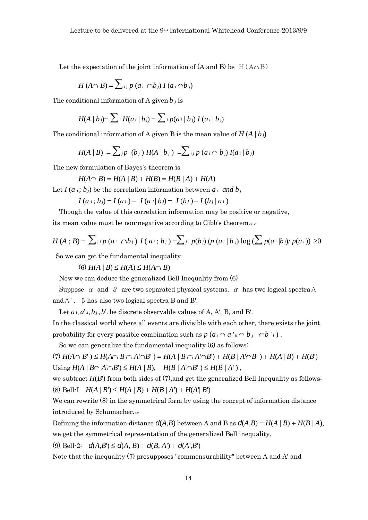Let the expectation of the joint information of  $(A \text{ and } B)$  be  $H(A \cap B)$ 

$$
H(A \cap B) = \sum_{i,j} p(a_i \cap b_j) I(a_i \cap b_j)
$$

The conditional information of A given  $b_i$  is

$$
H(A | bj) = \sum_{i} H(a_{i} | b_{j}) = \sum_{i} p(a_{i} | b_{j}) I(a_{i} | b_{j})
$$

The conditional information of A given B is the mean value of  $H(A | b_i)$ 

$$
H(A | B) = \sum_{j} p (b_j) H(A | b_j) = \sum_{i} p (a_i \cap b_j) I(a_i | b_j)
$$

The new formulation of Bayes's theorem is

$$
H(A \cap B) = H(A | B) + H(B) = H(B | A) + H(A)
$$

Let  $I(a_i; b_j)$  be the correlation information between  $a_i$  and  $b_j$ 

 $I(a_i; b_i) = I(a_i) - I(a_i | b_i) = I(b_i) - I(b_i | a_i)$ 

Though the value of this correlation information may be positive or negative,

its mean value must be non-negative according to Gibb's theorem.xiv

$$
H(A; B) = \sum_{i,j} p(a_i \cap b_j) I(a_i; b_j) = \sum_{j} p(b_j) (p(a_i | b_j) \log (\sum p(a_i | b_j) / p(a_i)) \ge 0
$$

So we can get the fundamental inequality

 $H(A | B) \leq H(A) \leq H(A \cap B)$ 

Now we can deduce the generalized Bell Inequality from (6)

Suppose  $\alpha$  and  $\beta$  are two separated physical systems.  $\alpha$  has two logical spectra A and  $A'$ .  $\beta$  has also two logical spectra B and B'.

Let  $a_i$ ,  $a^i$ ,  $b_j$ ,  $b^i$ , be discrete observable values of A, A', B, and B'.

In the classical world where all events are divisible with each other, there exists the joint probability for every possible combination such as  $p(a_i \cap a' \times b_j \cap b' \in I)$ .

So we can generalize the fundamental inequality (6) as follows:

 $H(A \cap B') \leq H(A \cap B \cap A' \cap B') = H(A \mid B \cap A' \cap B') + H(B \mid A' \cap B') + H(A' \mid B) + H(B')$  $\text{Using } H(A \mid B \cap A' \cap B') \leq H(A \mid B), \quad H(B \mid A' \cap B') \leq H(B \mid A')$ ,

we subtract  $H(B')$  from both sides of  $(7)$ , and get the generalized Bell Inequality as follows:  $H(A | B') \leq H(A | B) + H(B | A') + H(A | B')$ 

We can rewrite (8) in the symmetrical form by using the concept of information distance introduced by Schumacher.xv

Defining the information distance  $d(A,B)$  between A and B as  $d(A,B) = H(A \mid B) + H(B \mid A)$ , we get the symmetrical representation of the generalized Bell inequality.

(9) Bell-2:  $d(A,B') \leq d(A,B) + d(B,A') + d(A',B')$ 

Note that the inequality (7) presupposes "commensurability" between A and A' and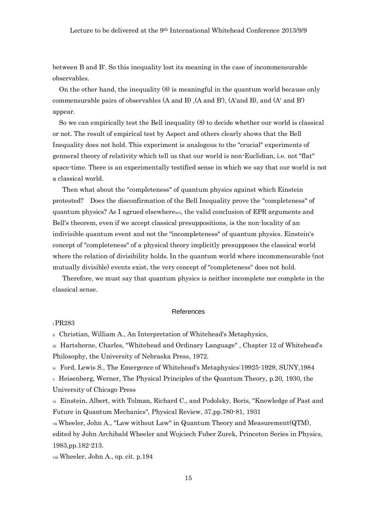between B and B'. So this inequality lost its meaning in the case of incommensurable observables.

On the other hand, the inequality (8) is meaningful in the quantum world because only commensurable pairs of observables (A and B) ,(A and B'), (A'and B), and (A' and B') appear.

So we can empirically test the Bell inequality (8) to decide whether our world is classical or not. The result of empirical test by Aspect and others clearly shows that the Bell Inequality does not hold. This experiment is analogous to the "crucial" experiments of genneral theory of relativity which tell us that our world is non-Euclidian, i.e. not "flat" space-time. There is an experimentally testified sense in which we say that our world is not a classical world.

Then what about the "completeness" of quantum physics against which Einstein protested? Does the disconfirmation of the Bell Inequality prove the "completeness" of quantum physics? As I agrued elsewherexvi, the valid conclusion of EPR arguments and Bell's theorem, even if we accept classical presuppositions, is the non-locality of an indivisible quantum event and not the "incompleteness" of quantum physics. Einstein's concept of "completeness" of a physical theory implicitly presupposes the classical world where the relation of divisibility holds. In the quantum world where incommensurable (not mutually divisible) events exist, the very concept of "completeness" does not hold.

Therefore, we must say that quantum physics is neither incomplete nor complete in the classical sense.

#### References

#### <sup>i</sup>PR283

ii Christian, William A., An Interpretation of Whitehead's Metaphysics,

iii Hartshorne, Charles, "Whitehead and Ordinary Language" , Chapter 12 of Whitehead's Philosophy, the University of Nebraska Press, 1972.

iv Ford, Lewis S., The Emergence of Whitehead's Metaphysics:19925-1929, SUNY,1984

 $\rm{v}$  Heisenberg, Werner, The Physical Principles of the Quantum Theory, p.20, 1930, the University of Chicago Press

vi Einstein, Albert, with Tolman, Richard C., and Podolsky, Boris, "Knowledge of Past and Future in Quantum Mechanics", Physical Review, 37,pp.780-81, 1931

vii Wheeler, John A., "Law without Law" in Quantum Theory and Measurement(QTM),

edited by John Archibald Wheeler and Wojciech Fuber Zurek, Princeton Series in Physics, 1983,pp.182-213.

viii Wheeler, John A., op. cit. p.194